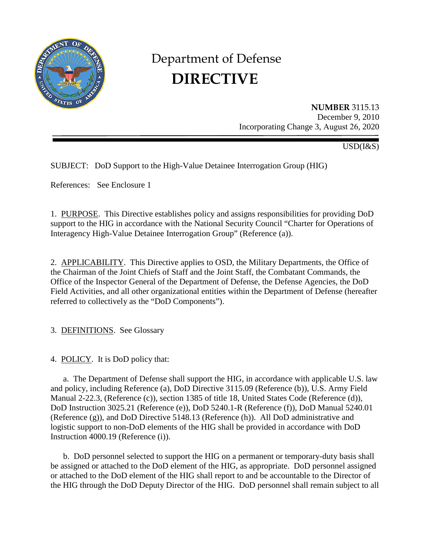

# Department of Defense **DIRECTIVE**

**NUMBER** 3115.13 December 9, 2010 Incorporating Change 3, August 26, 2020

USD(I&S)

SUBJECT: DoD Support to the High-Value Detainee Interrogation Group (HIG)

References: See Enclosure 1

1. PURPOSE. This Directive establishes policy and assigns responsibilities for providing DoD support to the HIG in accordance with the National Security Council "Charter for Operations of Interagency High-Value Detainee Interrogation Group" (Reference (a)).

2. APPLICABILITY. This Directive applies to OSD, the Military Departments, the Office of the Chairman of the Joint Chiefs of Staff and the Joint Staff, the Combatant Commands, the Office of the Inspector General of the Department of Defense, the Defense Agencies, the DoD Field Activities, and all other organizational entities within the Department of Defense (hereafter referred to collectively as the "DoD Components").

3. DEFINITIONS. See Glossary

4. POLICY. It is DoD policy that:

a. The Department of Defense shall support the HIG, in accordance with applicable U.S. law and policy, including Reference (a), DoD Directive 3115.09 (Reference (b)), U.S. Army Field Manual 2-22.3, (Reference (c)), section 1385 of title 18, United States Code (Reference (d)), DoD Instruction 3025.21 (Reference (e)), DoD 5240.1-R (Reference (f)), DoD Manual 5240.01 (Reference (g)), and DoD Directive 5148.13 (Reference (h)). All DoD administrative and logistic support to non-DoD elements of the HIG shall be provided in accordance with DoD Instruction 4000.19 (Reference (i)).

b. DoD personnel selected to support the HIG on a permanent or temporary-duty basis shall be assigned or attached to the DoD element of the HIG, as appropriate. DoD personnel assigned or attached to the DoD element of the HIG shall report to and be accountable to the Director of the HIG through the DoD Deputy Director of the HIG. DoD personnel shall remain subject to all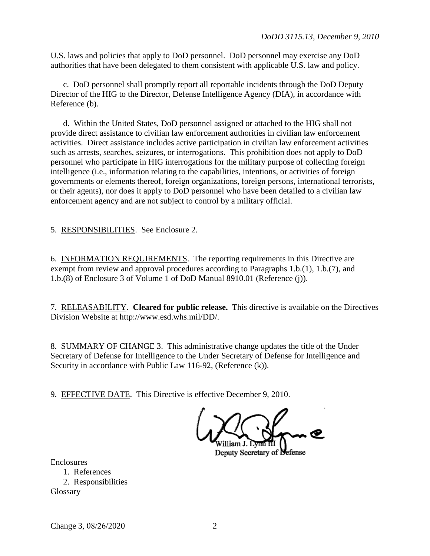U.S. laws and policies that apply to DoD personnel. DoD personnel may exercise any DoD authorities that have been delegated to them consistent with applicable U.S. law and policy.

c. DoD personnel shall promptly report all reportable incidents through the DoD Deputy Director of the HIG to the Director, Defense Intelligence Agency (DIA), in accordance with Reference (b).

d. Within the United States, DoD personnel assigned or attached to the HIG shall not provide direct assistance to civilian law enforcement authorities in civilian law enforcement activities. Direct assistance includes active participation in civilian law enforcement activities such as arrests, searches, seizures, or interrogations. This prohibition does not apply to DoD personnel who participate in HIG interrogations for the military purpose of collecting foreign intelligence (i.e., information relating to the capabilities, intentions, or activities of foreign governments or elements thereof, foreign organizations, foreign persons, international terrorists, or their agents), nor does it apply to DoD personnel who have been detailed to a civilian law enforcement agency and are not subject to control by a military official.

5. RESPONSIBILITIES. See Enclosure 2.

6. INFORMATION REQUIREMENTS. The reporting requirements in this Directive are exempt from review and approval procedures according to Paragraphs 1.b.(1), 1.b.(7), and 1.b.(8) of Enclosure 3 of Volume 1 of DoD Manual 8910.01 (Reference (j)).

7. RELEASABILITY. **Cleared for public release.** This directive is available on the Directives Division Website at http://www.esd.whs.mil/DD/.

8. SUMMARY OF CHANGE 3. This administrative change updates the title of the Under Secretary of Defense for Intelligence to the Under Secretary of Defense for Intelligence and Security in accordance with Public Law 116-92, (Reference (k)).

9. EFFECTIVE DATE. This Directive is effective December 9, 2010.

Deputy Secretary of Defense

**Enclosures** 

1. References 2. Responsibilities Glossary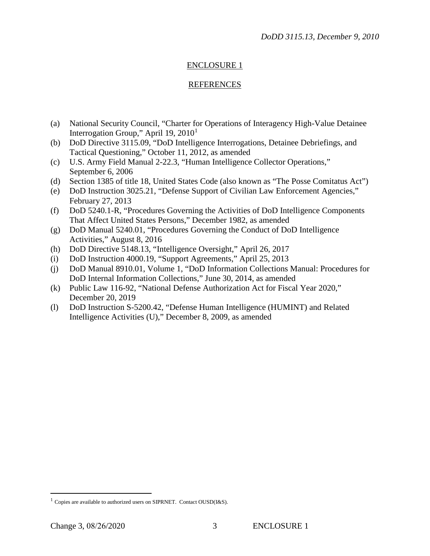# ENCLOSURE 1

## REFERENCES

- (a) National Security Council, "Charter for Operations of Interagency High-Value Detainee Interrogation Group," April [1](#page-2-0)9, 2010<sup>1</sup>
- (b) DoD Directive 3115.09, "DoD Intelligence Interrogations, Detainee Debriefings, and Tactical Questioning," October 11, 2012, as amended
- (c) U.S. Army Field Manual 2-22.3, "Human Intelligence Collector Operations," September 6, 2006
- (d) Section 1385 of title 18, United States Code (also known as "The Posse Comitatus Act")
- (e) DoD Instruction 3025.21, "Defense Support of Civilian Law Enforcement Agencies," February 27, 2013
- (f) DoD 5240.1-R, "Procedures Governing the Activities of DoD Intelligence Components That Affect United States Persons," December 1982, as amended
- (g) DoD Manual 5240.01, "Procedures Governing the Conduct of DoD Intelligence Activities," August 8, 2016
- (h) DoD Directive 5148.13, "Intelligence Oversight," April 26, 2017
- (i) DoD Instruction 4000.19, "Support Agreements," April 25, 2013
- (j) DoD Manual 8910.01, Volume 1, "DoD Information Collections Manual: Procedures for DoD Internal Information Collections," June 30, 2014, as amended
- (k) Public Law 116-92, "National Defense Authorization Act for Fiscal Year 2020," December 20, 2019
- (l) DoD Instruction S-5200.42, "Defense Human Intelligence (HUMINT) and Related Intelligence Activities (U)," December 8, 2009, as amended

<span id="page-2-0"></span> $1$  Copies are available to authorized users on SIPRNET. Contact OUSD(I&S).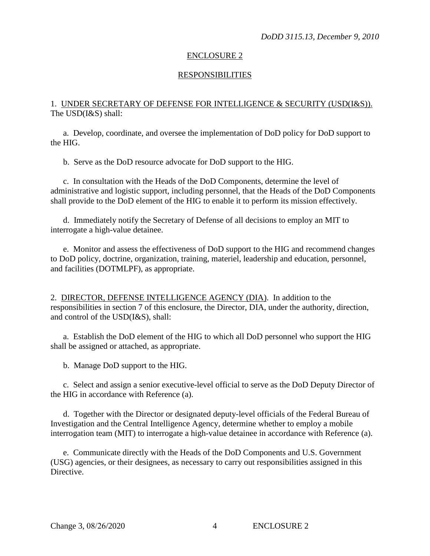## ENCLOSURE 2

#### RESPONSIBILITIES

## 1. UNDER SECRETARY OF DEFENSE FOR INTELLIGENCE & SECURITY (USD(I&S)). The USD(I&S) shall:

a. Develop, coordinate, and oversee the implementation of DoD policy for DoD support to the HIG.

b. Serve as the DoD resource advocate for DoD support to the HIG.

c. In consultation with the Heads of the DoD Components, determine the level of administrative and logistic support, including personnel, that the Heads of the DoD Components shall provide to the DoD element of the HIG to enable it to perform its mission effectively.

d. Immediately notify the Secretary of Defense of all decisions to employ an MIT to interrogate a high-value detainee.

e. Monitor and assess the effectiveness of DoD support to the HIG and recommend changes to DoD policy, doctrine, organization, training, materiel, leadership and education, personnel, and facilities (DOTMLPF), as appropriate.

2. DIRECTOR, DEFENSE INTELLIGENCE AGENCY (DIA). In addition to the responsibilities in section 7 of this enclosure, the Director, DIA, under the authority, direction, and control of the USD(I&S), shall:

a. Establish the DoD element of the HIG to which all DoD personnel who support the HIG shall be assigned or attached, as appropriate.

b. Manage DoD support to the HIG.

c. Select and assign a senior executive-level official to serve as the DoD Deputy Director of the HIG in accordance with Reference (a).

d. Together with the Director or designated deputy-level officials of the Federal Bureau of Investigation and the Central Intelligence Agency, determine whether to employ a mobile interrogation team (MIT) to interrogate a high-value detainee in accordance with Reference (a).

e. Communicate directly with the Heads of the DoD Components and U.S. Government (USG) agencies, or their designees, as necessary to carry out responsibilities assigned in this Directive.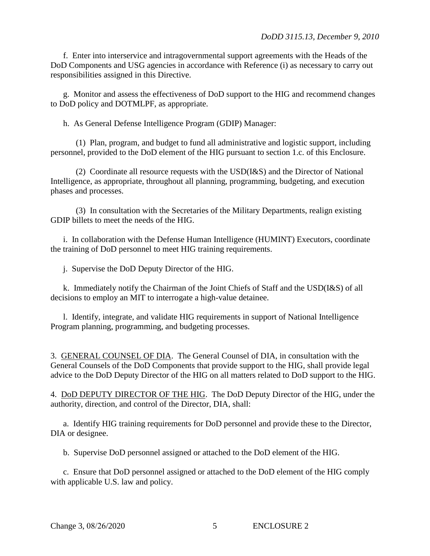f. Enter into interservice and intragovernmental support agreements with the Heads of the DoD Components and USG agencies in accordance with Reference (i) as necessary to carry out responsibilities assigned in this Directive.

g. Monitor and assess the effectiveness of DoD support to the HIG and recommend changes to DoD policy and DOTMLPF, as appropriate.

h. As General Defense Intelligence Program (GDIP) Manager:

(1) Plan, program, and budget to fund all administrative and logistic support, including personnel, provided to the DoD element of the HIG pursuant to section 1.c. of this Enclosure.

(2) Coordinate all resource requests with the USD(I&S) and the Director of National Intelligence, as appropriate, throughout all planning, programming, budgeting, and execution phases and processes.

(3) In consultation with the Secretaries of the Military Departments, realign existing GDIP billets to meet the needs of the HIG.

i. In collaboration with the Defense Human Intelligence (HUMINT) Executors, coordinate the training of DoD personnel to meet HIG training requirements.

j. Supervise the DoD Deputy Director of the HIG.

k. Immediately notify the Chairman of the Joint Chiefs of Staff and the USD(I&S) of all decisions to employ an MIT to interrogate a high-value detainee.

l. Identify, integrate, and validate HIG requirements in support of National Intelligence Program planning, programming, and budgeting processes.

3. GENERAL COUNSEL OF DIA. The General Counsel of DIA, in consultation with the General Counsels of the DoD Components that provide support to the HIG, shall provide legal advice to the DoD Deputy Director of the HIG on all matters related to DoD support to the HIG.

4. DoD DEPUTY DIRECTOR OF THE HIG. The DoD Deputy Director of the HIG, under the authority, direction, and control of the Director, DIA, shall:

a. Identify HIG training requirements for DoD personnel and provide these to the Director, DIA or designee.

b. Supervise DoD personnel assigned or attached to the DoD element of the HIG.

c. Ensure that DoD personnel assigned or attached to the DoD element of the HIG comply with applicable U.S. law and policy.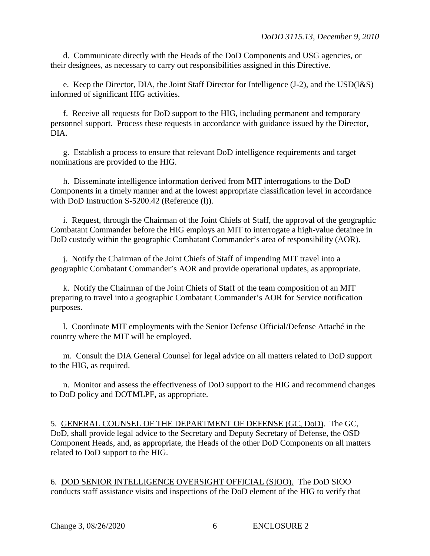d. Communicate directly with the Heads of the DoD Components and USG agencies, or their designees, as necessary to carry out responsibilities assigned in this Directive.

e. Keep the Director, DIA, the Joint Staff Director for Intelligence (J-2), and the USD(I&S) informed of significant HIG activities.

f. Receive all requests for DoD support to the HIG, including permanent and temporary personnel support. Process these requests in accordance with guidance issued by the Director, DIA.

g. Establish a process to ensure that relevant DoD intelligence requirements and target nominations are provided to the HIG.

h. Disseminate intelligence information derived from MIT interrogations to the DoD Components in a timely manner and at the lowest appropriate classification level in accordance with DoD Instruction S-5200.42 (Reference (l)).

i. Request, through the Chairman of the Joint Chiefs of Staff, the approval of the geographic Combatant Commander before the HIG employs an MIT to interrogate a high-value detainee in DoD custody within the geographic Combatant Commander's area of responsibility (AOR).

j. Notify the Chairman of the Joint Chiefs of Staff of impending MIT travel into a geographic Combatant Commander's AOR and provide operational updates, as appropriate.

k. Notify the Chairman of the Joint Chiefs of Staff of the team composition of an MIT preparing to travel into a geographic Combatant Commander's AOR for Service notification purposes.

l. Coordinate MIT employments with the Senior Defense Official/Defense Attaché in the country where the MIT will be employed.

m. Consult the DIA General Counsel for legal advice on all matters related to DoD support to the HIG, as required.

n. Monitor and assess the effectiveness of DoD support to the HIG and recommend changes to DoD policy and DOTMLPF, as appropriate.

5. GENERAL COUNSEL OF THE DEPARTMENT OF DEFENSE (GC, DoD). The GC, DoD, shall provide legal advice to the Secretary and Deputy Secretary of Defense, the OSD Component Heads, and, as appropriate, the Heads of the other DoD Components on all matters related to DoD support to the HIG.

6. DOD SENIOR INTELLIGENCE OVERSIGHT OFFICIAL (SIOO). The DoD SIOO conducts staff assistance visits and inspections of the DoD element of the HIG to verify that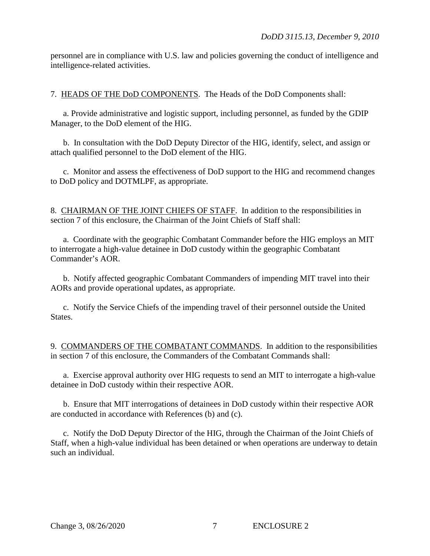personnel are in compliance with U.S. law and policies governing the conduct of intelligence and intelligence-related activities.

7. HEADS OF THE DoD COMPONENTS. The Heads of the DoD Components shall:

a. Provide administrative and logistic support, including personnel, as funded by the GDIP Manager, to the DoD element of the HIG.

b. In consultation with the DoD Deputy Director of the HIG, identify, select, and assign or attach qualified personnel to the DoD element of the HIG.

c. Monitor and assess the effectiveness of DoD support to the HIG and recommend changes to DoD policy and DOTMLPF, as appropriate.

8. CHAIRMAN OF THE JOINT CHIEFS OF STAFF. In addition to the responsibilities in section 7 of this enclosure, the Chairman of the Joint Chiefs of Staff shall:

a. Coordinate with the geographic Combatant Commander before the HIG employs an MIT to interrogate a high-value detainee in DoD custody within the geographic Combatant Commander's AOR.

b. Notify affected geographic Combatant Commanders of impending MIT travel into their AORs and provide operational updates, as appropriate.

c. Notify the Service Chiefs of the impending travel of their personnel outside the United States.

9. COMMANDERS OF THE COMBATANT COMMANDS. In addition to the responsibilities in section 7 of this enclosure, the Commanders of the Combatant Commands shall:

a. Exercise approval authority over HIG requests to send an MIT to interrogate a high-value detainee in DoD custody within their respective AOR.

b. Ensure that MIT interrogations of detainees in DoD custody within their respective AOR are conducted in accordance with References (b) and (c).

c. Notify the DoD Deputy Director of the HIG, through the Chairman of the Joint Chiefs of Staff, when a high-value individual has been detained or when operations are underway to detain such an individual.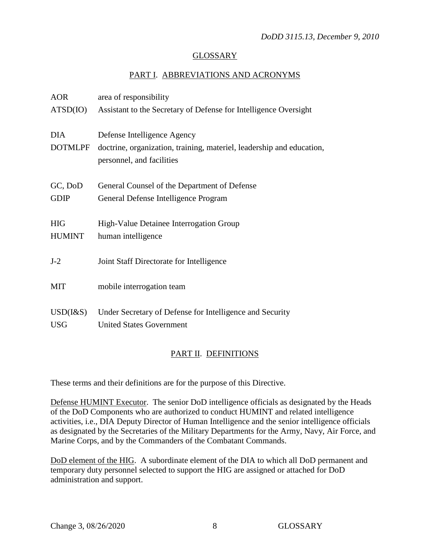## GLOSSARY

## PART I. ABBREVIATIONS AND ACRONYMS

| <b>AOR</b>      | area of responsibility                                                                             |
|-----------------|----------------------------------------------------------------------------------------------------|
| ATSD(IO)        | Assistant to the Secretary of Defense for Intelligence Oversight                                   |
| <b>DIA</b>      | Defense Intelligence Agency                                                                        |
| <b>DOTMLPF</b>  | doctrine, organization, training, materiel, leadership and education,<br>personnel, and facilities |
|                 |                                                                                                    |
| GC, DoD         | General Counsel of the Department of Defense                                                       |
| <b>GDIP</b>     | General Defense Intelligence Program                                                               |
| <b>HIG</b>      | High-Value Detainee Interrogation Group                                                            |
| <b>HUMINT</b>   | human intelligence                                                                                 |
| $J-2$           | Joint Staff Directorate for Intelligence                                                           |
| <b>MIT</b>      | mobile interrogation team                                                                          |
| $USD$ ( $1&$ S) | Under Secretary of Defense for Intelligence and Security                                           |
| <b>USG</b>      | <b>United States Government</b>                                                                    |

# PART II. DEFINITIONS

These terms and their definitions are for the purpose of this Directive.

Defense HUMINT Executor. The senior DoD intelligence officials as designated by the Heads of the DoD Components who are authorized to conduct HUMINT and related intelligence activities, i.e., DIA Deputy Director of Human Intelligence and the senior intelligence officials as designated by the Secretaries of the Military Departments for the Army, Navy, Air Force, and Marine Corps, and by the Commanders of the Combatant Commands.

DoD element of the HIG. A subordinate element of the DIA to which all DoD permanent and temporary duty personnel selected to support the HIG are assigned or attached for DoD administration and support.